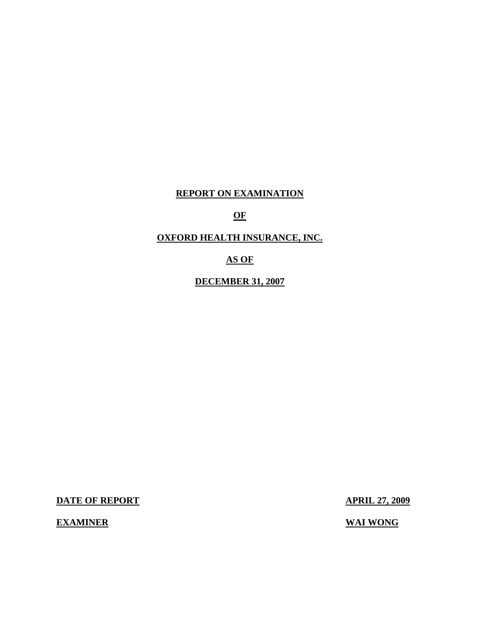# **REPORT ON EXAMINATION**

# **OF**

# **OXFORD HEALTH INSURANCE, INC.**

# **AS OF**

# **DECEMBER 31, 2007**

**DATE OF REPORT APRIL 27, 2009** 

**EXAMINER WAI WONG**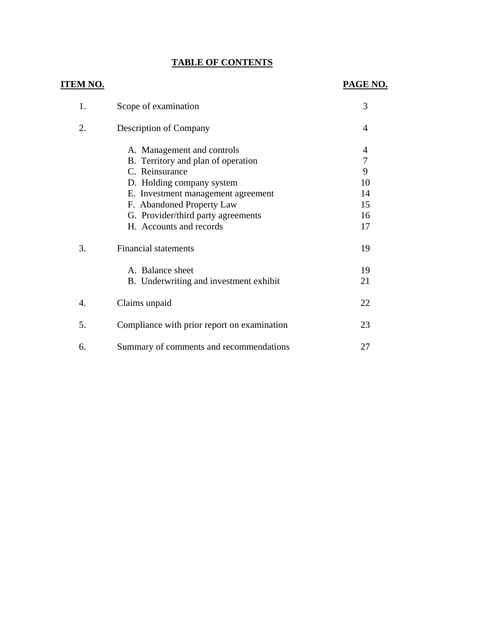# **TABLE OF CONTENTS**

| ITEM NO. |                                             | PAGE NO. |
|----------|---------------------------------------------|----------|
| 1.       | Scope of examination                        | 3        |
| 2.       | Description of Company                      | 4        |
|          | A. Management and controls                  | 4        |
|          | B. Territory and plan of operation          | 7        |
|          | C. Reinsurance                              | 9        |
|          | D. Holding company system                   | 10       |
|          | E. Investment management agreement          | 14       |
|          | F. Abandoned Property Law                   | 15       |
|          | G. Provider/third party agreements          | 16       |
|          | H. Accounts and records                     | 17       |
| 3.       | <b>Financial statements</b>                 | 19       |
|          | A. Balance sheet                            | 19       |
|          | B. Underwriting and investment exhibit      | 21       |
| 4.       | Claims unpaid                               | 22       |
| 5.       | Compliance with prior report on examination | 23       |
| 6.       | Summary of comments and recommendations     | 27       |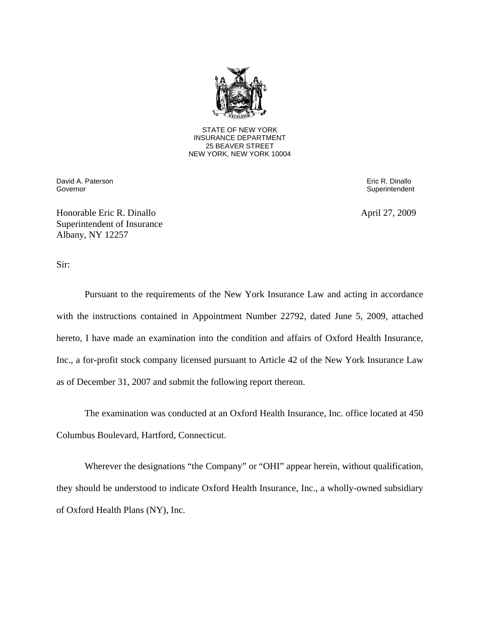

STATE OF NEW YORK INSURANCE DEPARTMENT 25 BEAVER STREET NEW YORK, NEW YORK 10004

David A. Paterson and the control of the control of the control of the control of the control of the control of the control of the control of the control of the control of the control of the control of the control of the c

Superintendent

Honorable Eric R. Dinallo April 27, 2009 Superintendent of Insurance Albany, NY 12257

Sir:

Pursuant to the requirements of the New York Insurance Law and acting in accordance with the instructions contained in Appointment Number 22792, dated June 5, 2009, attached hereto, I have made an examination into the condition and affairs of Oxford Health Insurance, Inc., a for-profit stock company licensed pursuant to Article 42 of the New York Insurance Law as of December 31, 2007 and submit the following report thereon.

The examination was conducted at an Oxford Health Insurance, Inc. office located at 450 Columbus Boulevard, Hartford, Connecticut.

Wherever the designations "the Company" or "OHI" appear herein, without qualification, they should be understood to indicate Oxford Health Insurance, Inc., a wholly-owned subsidiary of Oxford Health Plans (NY), Inc.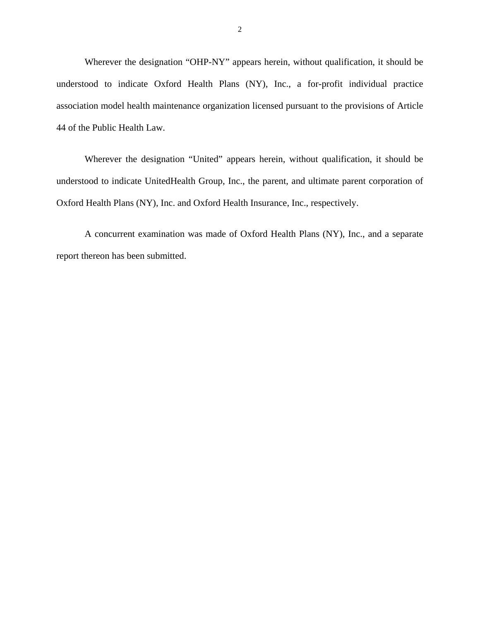Wherever the designation "OHP-NY" appears herein, without qualification, it should be understood to indicate Oxford Health Plans (NY), Inc., a for-profit individual practice association model health maintenance organization licensed pursuant to the provisions of Article 44 of the Public Health Law.

Wherever the designation "United" appears herein, without qualification, it should be understood to indicate UnitedHealth Group, Inc., the parent, and ultimate parent corporation of Oxford Health Plans (NY), Inc. and Oxford Health Insurance, Inc., respectively.

A concurrent examination was made of Oxford Health Plans (NY), Inc., and a separate report thereon has been submitted.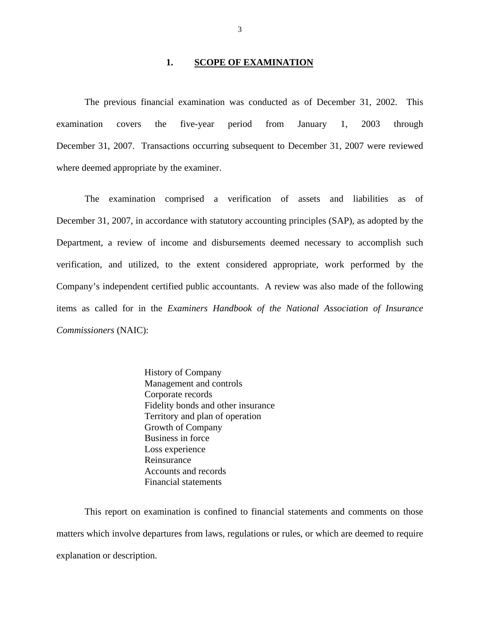#### **1. SCOPE OF EXAMINATION**

The previous financial examination was conducted as of December 31, 2002. This examination covers the five-year period from January 1, 2003 through December 31, 2007. Transactions occurring subsequent to December 31, 2007 were reviewed where deemed appropriate by the examiner.

The examination comprised a verification of assets and liabilities as of December 31, 2007, in accordance with statutory accounting principles (SAP), as adopted by the Department, a review of income and disbursements deemed necessary to accomplish such verification, and utilized, to the extent considered appropriate, work performed by the Company's independent certified public accountants. A review was also made of the following items as called for in the *Examiners Handbook of the National Association of Insurance Commissioners* (NAIC):

> History of Company Management and controls Corporate records Fidelity bonds and other insurance Territory and plan of operation Growth of Company Business in force Loss experience Reinsurance Accounts and records Financial statements

This report on examination is confined to financial statements and comments on those matters which involve departures from laws, regulations or rules, or which are deemed to require explanation or description.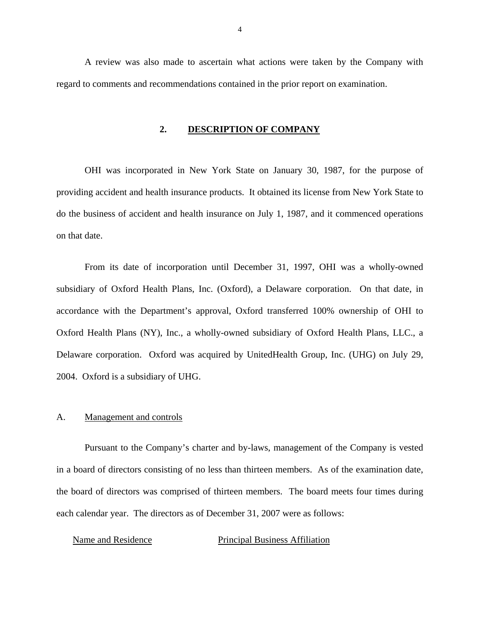<span id="page-5-0"></span>A review was also made to ascertain what actions were taken by the Company with regard to comments and recommendations contained in the prior report on examination.

#### **2. DESCRIPTION OF COMPANY**

OHI was incorporated in New York State on January 30, 1987, for the purpose of providing accident and health insurance products. It obtained its license from New York State to do the business of accident and health insurance on July 1, 1987, and it commenced operations on that date.

From its date of incorporation until December 31, 1997, OHI was a wholly-owned subsidiary of Oxford Health Plans, Inc. (Oxford), a Delaware corporation. On that date, in accordance with the Department's approval, Oxford transferred 100% ownership of OHI to Oxford Health Plans (NY), Inc., a wholly-owned subsidiary of Oxford Health Plans, LLC., a Delaware corporation. Oxford was acquired by UnitedHealth Group, Inc. (UHG) on July 29, 2004. Oxford is a subsidiary of UHG.

#### A. Management and controls

Pursuant to the Company's charter and by-laws, management of the Company is vested in a board of directors consisting of no less than thirteen members. As of the examination date, the board of directors was comprised of thirteen members. The board meets four times during each calendar year. The directors as of December 31, 2007 were as follows:

#### Name and Residence Principal Business Affiliation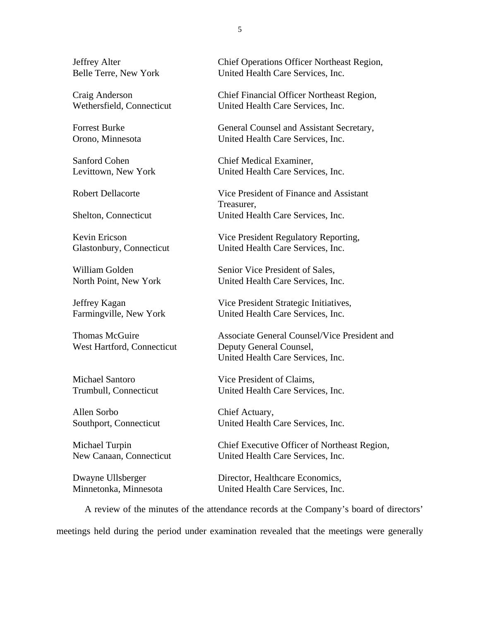West Hartford, Connecticut Deputy General Counsel,

Allen Sorbo Chief Actuary,

Jeffrey Alter Chief Operations Officer Northeast Region, Belle Terre, New York United Health Care Services, Inc.

Craig Anderson Chief Financial Officer Northeast Region, Wethersfield, Connecticut United Health Care Services, Inc.

Forrest Burke General Counsel and Assistant Secretary, Orono, Minnesota United Health Care Services, Inc.

Sanford Cohen Chief Medical Examiner. Levittown, New York United Health Care Services, Inc.

Robert Dellacorte Vice President of Finance and Assistant Treasurer, Shelton, Connecticut United Health Care Services, Inc.

Kevin Ericson Vice President Regulatory Reporting, Glastonbury, Connecticut United Health Care Services, Inc.

William Golden Senior Vice President of Sales, North Point, New York United Health Care Services, Inc.

Jeffrey Kagan Vice President Strategic Initiatives, Farmingville, New York United Health Care Services, Inc.

Thomas McGuire Associate General Counsel/Vice President and United Health Care Services, Inc.

Michael Santoro Vice President of Claims, Trumbull, Connecticut United Health Care Services, Inc.

Southport, Connecticut United Health Care Services, Inc.

Michael Turpin Chief Executive Officer of Northeast Region, New Canaan, Connecticut United Health Care Services, Inc.

Dwayne Ullsberger Director, Healthcare Economics, Minnetonka, Minnesota United Health Care Services, Inc.

A review of the minutes of the attendance records at the Company's board of directors'

meetings held during the period under examination revealed that the meetings were generally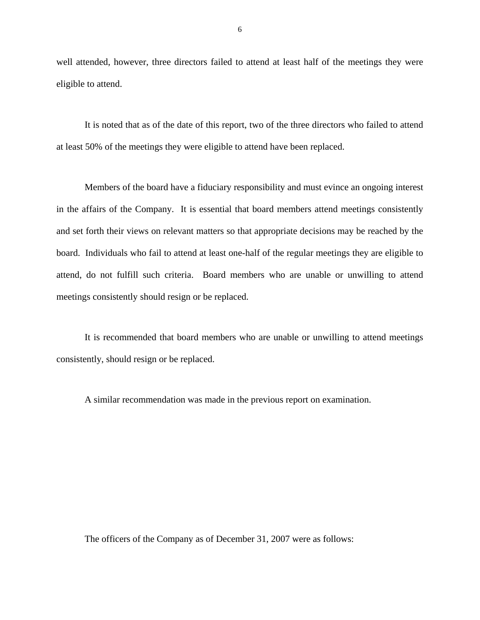well attended, however, three directors failed to attend at least half of the meetings they were eligible to attend.

It is noted that as of the date of this report, two of the three directors who failed to attend at least 50% of the meetings they were eligible to attend have been replaced.

Members of the board have a fiduciary responsibility and must evince an ongoing interest in the affairs of the Company. It is essential that board members attend meetings consistently and set forth their views on relevant matters so that appropriate decisions may be reached by the board. Individuals who fail to attend at least one-half of the regular meetings they are eligible to attend, do not fulfill such criteria. Board members who are unable or unwilling to attend meetings consistently should resign or be replaced.

It is recommended that board members who are unable or unwilling to attend meetings consistently, should resign or be replaced.

A similar recommendation was made in the previous report on examination.

The officers of the Company as of December 31, 2007 were as follows:

6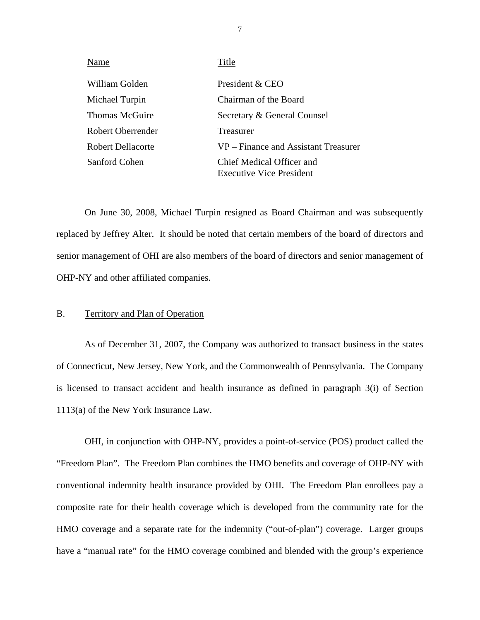| Name                     | Title                                                        |
|--------------------------|--------------------------------------------------------------|
| William Golden           | President & CEO                                              |
| Michael Turpin           | Chairman of the Board                                        |
| <b>Thomas McGuire</b>    | Secretary & General Counsel                                  |
| <b>Robert Oberrender</b> | Treasurer                                                    |
| <b>Robert Dellacorte</b> | VP – Finance and Assistant Treasurer                         |
| Sanford Cohen            | Chief Medical Officer and<br><b>Executive Vice President</b> |

On June 30, 2008, Michael Turpin resigned as Board Chairman and was subsequently replaced by Jeffrey Alter. It should be noted that certain members of the board of directors and senior management of OHI are also members of the board of directors and senior management of OHP-NY and other affiliated companies.

#### B. Territory and Plan of Operation

As of December 31, 2007, the Company was authorized to transact business in the states of Connecticut, New Jersey, New York, and the Commonwealth of Pennsylvania. The Company is licensed to transact accident and health insurance as defined in paragraph 3(i) of Section 1113(a) of the New York Insurance Law.

OHI, in conjunction with OHP-NY, provides a point-of-service (POS) product called the "Freedom Plan". The Freedom Plan combines the HMO benefits and coverage of OHP-NY with conventional indemnity health insurance provided by OHI. The Freedom Plan enrollees pay a composite rate for their health coverage which is developed from the community rate for the HMO coverage and a separate rate for the indemnity ("out-of-plan") coverage. Larger groups have a "manual rate" for the HMO coverage combined and blended with the group's experience

7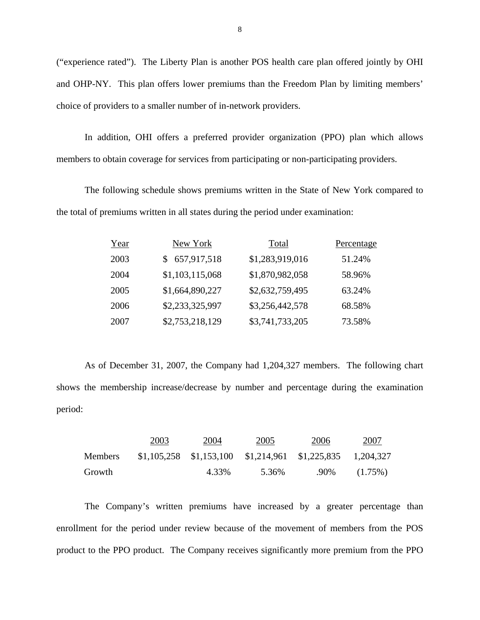("experience rated"). The Liberty Plan is another POS health care plan offered jointly by OHI and OHP-NY. This plan offers lower premiums than the Freedom Plan by limiting members' choice of providers to a smaller number of in-network providers.

In addition, OHI offers a preferred provider organization (PPO) plan which allows members to obtain coverage for services from participating or non-participating providers.

The following schedule shows premiums written in the State of New York compared to the total of premiums written in all states during the period under examination:

| <u>Year</u> | New York        | Total           | <u>Percentage</u> |
|-------------|-----------------|-----------------|-------------------|
| 2003        | 657,917,518     | \$1,283,919,016 | 51.24%            |
| 2004        | \$1,103,115,068 | \$1,870,982,058 | 58.96%            |
| 2005        | \$1,664,890,227 | \$2,632,759,495 | 63.24%            |
| 2006        | \$2,233,325,997 | \$3,256,442,578 | 68.58%            |
| 2007        | \$2,753,218,129 | \$3,741,733,205 | 73.58%            |

As of December 31, 2007, the Company had 1,204,327 members. The following chart shows the membership increase/decrease by number and percentage during the examination period:

|         | 2003 | 2004  | 2005  | 2006                                                            | 2007       |
|---------|------|-------|-------|-----------------------------------------------------------------|------------|
| Members |      |       |       | $$1,105,258$ $$1,153,100$ $$1,214,961$ $$1,225,835$ $1,204,327$ |            |
| Growth  |      | 4.33% | 5.36% | .90%                                                            | $(1.75\%)$ |

The Company's written premiums have increased by a greater percentage than enrollment for the period under review because of the movement of members from the POS product to the PPO product. The Company receives significantly more premium from the PPO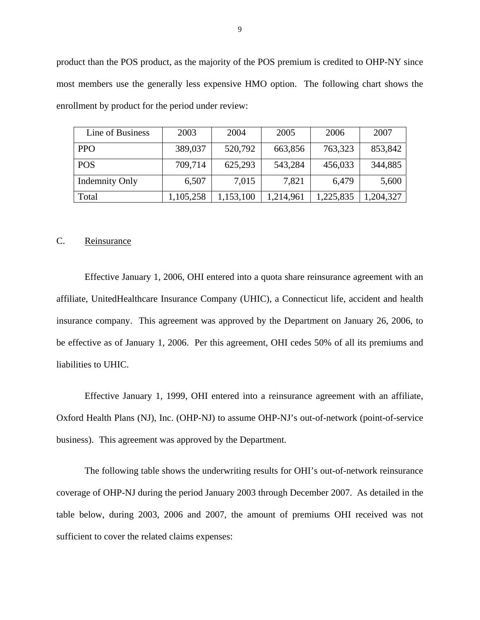product than the POS product, as the majority of the POS premium is credited to OHP-NY since most members use the generally less expensive HMO option. The following chart shows the enrollment by product for the period under review:

| Line of Business      | 2003      | 2004     | 2005      | 2006      | 2007     |
|-----------------------|-----------|----------|-----------|-----------|----------|
| <b>PPO</b>            | 389,037   | 520,792  | 663,856   | 763,323   | 853,842  |
| <b>POS</b>            | 709,714   | 625,293  | 543,284   | 456,033   | 344,885  |
| <b>Indemnity Only</b> | 6,507     | 7,015    | 7,821     | 6,479     | 5,600    |
| Total                 | 1,105,258 | ,153,100 | 1,214,961 | 1,225,835 | ,204,327 |

#### C. Reinsurance

Effective January 1, 2006, OHI entered into a quota share reinsurance agreement with an affiliate, UnitedHealthcare Insurance Company (UHIC), a Connecticut life, accident and health insurance company. This agreement was approved by the Department on January 26, 2006, to be effective as of January 1, 2006. Per this agreement, OHI cedes 50% of all its premiums and liabilities to UHIC.

 business). This agreement was approved by the Department. Effective January 1, 1999, OHI entered into a reinsurance agreement with an affiliate, Oxford Health Plans (NJ), Inc. (OHP-NJ) to assume OHP-NJ's out-of-network (point-of-service

The following table shows the underwriting results for OHI's out-of-network reinsurance coverage of OHP-NJ during the period January 2003 through December 2007. As detailed in the table below, during 2003, 2006 and 2007, the amount of premiums OHI received was not sufficient to cover the related claims expenses: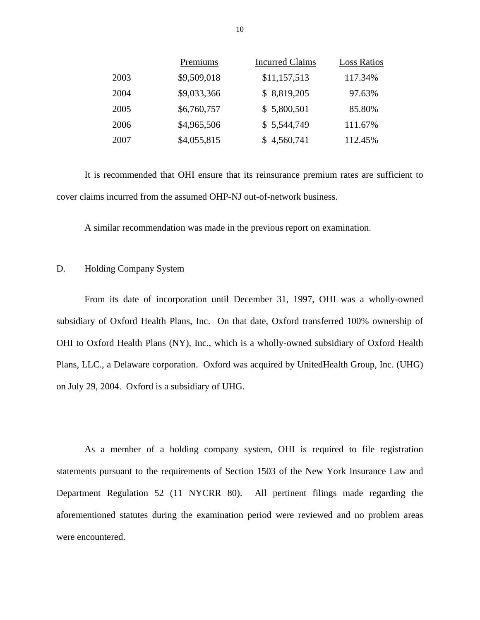|      | Premiums    | <b>Incurred Claims</b> | <b>Loss Ratios</b> |
|------|-------------|------------------------|--------------------|
| 2003 | \$9,509,018 | \$11,157,513           | 117.34%            |
| 2004 | \$9,033,366 | \$8,819,205            | 97.63%             |
| 2005 | \$6,760,757 | \$5,800,501            | 85.80%             |
| 2006 | \$4,965,506 | \$5,544,749            | 111.67%            |
| 2007 | \$4,055,815 | \$4,560,741            | 112.45%            |

It is recommended that OHI ensure that its reinsurance premium rates are sufficient to cover claims incurred from the assumed OHP-NJ out-of-network business.

A similar recommendation was made in the previous report on examination.

#### D. Holding Company System

From its date of incorporation until December 31, 1997, OHI was a wholly-owned subsidiary of Oxford Health Plans, Inc. On that date, Oxford transferred 100% ownership of OHI to Oxford Health Plans (NY), Inc., which is a wholly-owned subsidiary of Oxford Health Plans, LLC., a Delaware corporation. Oxford was acquired by UnitedHealth Group, Inc. (UHG) on July 29, 2004. Oxford is a subsidiary of UHG.

As a member of a holding company system, OHI is required to file registration statements pursuant to the requirements of Section 1503 of the New York Insurance Law and Department Regulation 52 (11 NYCRR 80). All pertinent filings made regarding the aforementioned statutes during the examination period were reviewed and no problem areas were encountered.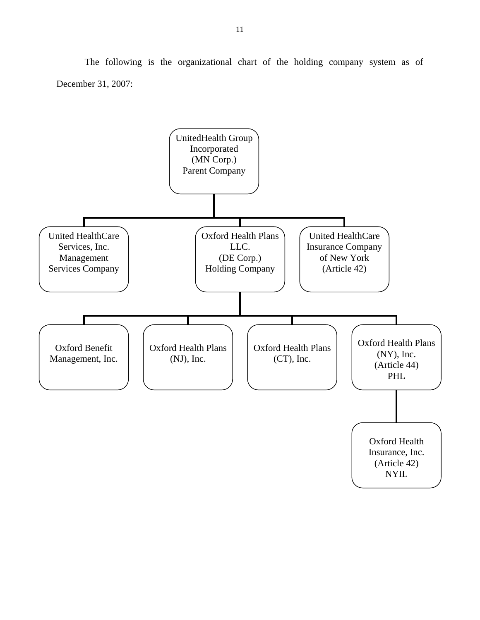The following is the organizational chart of the holding company system as of December 31, 2007:

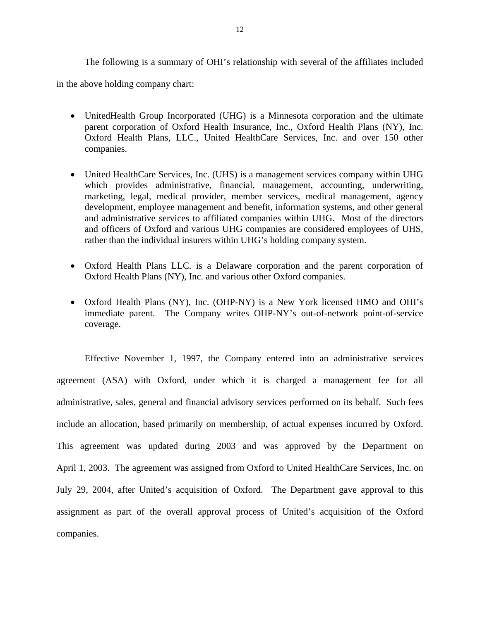The following is a summary of OHI's relationship with several of the affiliates included in the above holding company chart:

- UnitedHealth Group Incorporated (UHG) is a Minnesota corporation and the ultimate parent corporation of Oxford Health Insurance, Inc., Oxford Health Plans (NY), Inc. Oxford Health Plans, LLC., United HealthCare Services, Inc. and over 150 other companies.
- United HealthCare Services, Inc. (UHS) is a management services company within UHG which provides administrative, financial, management, accounting, underwriting, marketing, legal, medical provider, member services, medical management, agency development, employee management and benefit, information systems, and other general and administrative services to affiliated companies within UHG. Most of the directors and officers of Oxford and various UHG companies are considered employees of UHS, rather than the individual insurers within UHG's holding company system.
- Oxford Health Plans LLC. is a Delaware corporation and the parent corporation of Oxford Health Plans (NY), Inc. and various other Oxford companies.
- Oxford Health Plans (NY), Inc. (OHP-NY) is a New York licensed HMO and OHI's immediate parent. The Company writes OHP-NY's out-of-network point-of-service coverage.

Effective November 1, 1997, the Company entered into an administrative services agreement (ASA) with Oxford, under which it is charged a management fee for all administrative, sales, general and financial advisory services performed on its behalf. Such fees include an allocation, based primarily on membership, of actual expenses incurred by Oxford. This agreement was updated during 2003 and was approved by the Department on April 1, 2003. The agreement was assigned from Oxford to United HealthCare Services, Inc. on July 29, 2004, after United's acquisition of Oxford. The Department gave approval to this assignment as part of the overall approval process of United's acquisition of the Oxford companies.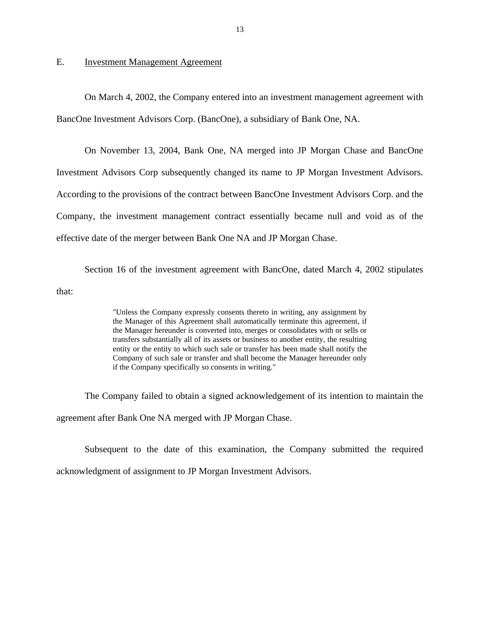#### E. Investment Management Agreement

On March 4, 2002, the Company entered into an investment management agreement with BancOne Investment Advisors Corp. (BancOne), a subsidiary of Bank One, NA.

On November 13, 2004, Bank One, NA merged into JP Morgan Chase and BancOne Investment Advisors Corp subsequently changed its name to JP Morgan Investment Advisors. According to the provisions of the contract between BancOne Investment Advisors Corp. and the Company, the investment management contract essentially became null and void as of the effective date of the merger between Bank One NA and JP Morgan Chase.

Section 16 of the investment agreement with BancOne, dated March 4, 2002 stipulates that:

> entity or the entity to which such sale or transfer has been made shall notify the "Unless the Company expressly consents thereto in writing, any assignment by the Manager of this Agreement shall automatically terminate this agreement, if the Manager hereunder is converted into, merges or consolidates with or sells or transfers substantially all of its assets or business to another entity, the resulting Company of such sale or transfer and shall become the Manager hereunder only if the Company specifically so consents in writing."

The Company failed to obtain a signed acknowledgement of its intention to maintain the agreement after Bank One NA merged with JP Morgan Chase.

Subsequent to the date of this examination, the Company submitted the required acknowledgment of assignment to JP Morgan Investment Advisors.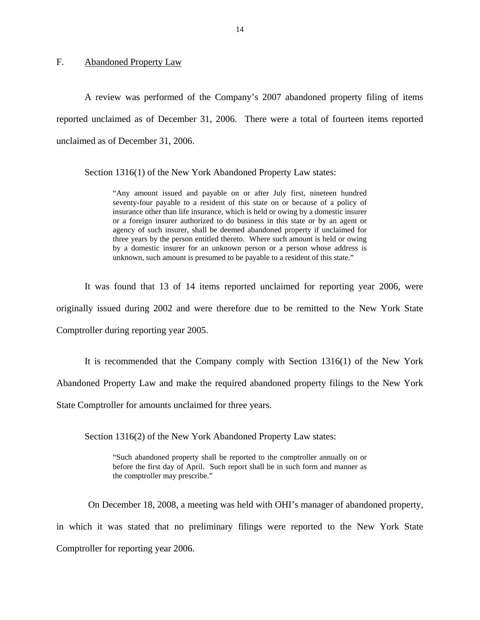<span id="page-15-0"></span>F. Abandoned Property Law

A review was performed of the Company's 2007 abandoned property filing of items reported unclaimed as of December 31, 2006. There were a total of fourteen items reported unclaimed as of December 31, 2006.

Section 1316(1) of the New York Abandoned Property Law states:

 "Any amount issued and payable on or after July first, nineteen hundred by a domestic insurer for an unknown person or a person whose address is seventy-four payable to a resident of this state on or because of a policy of insurance other than life insurance, which is held or owing by a domestic insurer or a foreign insurer authorized to do business in this state or by an agent or agency of such insurer, shall be deemed abandoned property if unclaimed for three years by the person entitled thereto. Where such amount is held or owing unknown, such amount is presumed to be payable to a resident of this state."

It was found that 13 of 14 items reported unclaimed for reporting year 2006, were originally issued during 2002 and were therefore due to be remitted to the New York State Comptroller during reporting year 2005.

It is recommended that the Company comply with Section 1316(1) of the New York

Abandoned Property Law and make the required abandoned property filings to the New York

State Comptroller for amounts unclaimed for three years.

Section 1316(2) of the New York Abandoned Property Law states:

"Such abandoned property shall be reported to the comptroller annually on or before the first day of April. Such report shall be in such form and manner as the comptroller may prescribe."

On December 18, 2008, a meeting was held with OHI's manager of abandoned property, in which it was stated that no preliminary filings were reported to the New York State Comptroller for reporting year 2006.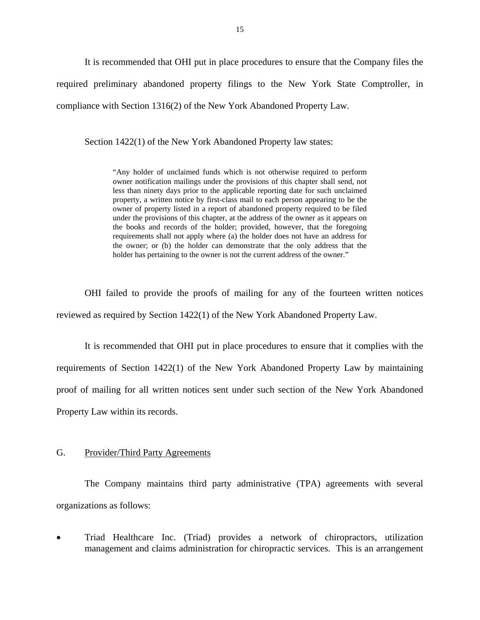<span id="page-16-0"></span>It is recommended that OHI put in place procedures to ensure that the Company files the required preliminary abandoned property filings to the New York State Comptroller, in compliance with Section 1316(2) of the New York Abandoned Property Law.

Section 1422(1) of the New York Abandoned Property law states:

 owner notification mailings under the provisions of this chapter shall send, not less than ninety days prior to the applicable reporting date for such unclaimed the owner; or (b) the holder can demonstrate that the only address that the "Any holder of unclaimed funds which is not otherwise required to perform property, a written notice by first-class mail to each person appearing to be the owner of property listed in a report of abandoned property required to be filed under the provisions of this chapter, at the address of the owner as it appears on the books and records of the holder; provided, however, that the foregoing requirements shall not apply where (a) the holder does not have an address for holder has pertaining to the owner is not the current address of the owner."

OHI failed to provide the proofs of mailing for any of the fourteen written notices reviewed as required by Section 1422(1) of the New York Abandoned Property Law.

It is recommended that OHI put in place procedures to ensure that it complies with the requirements of Section 1422(1) of the New York Abandoned Property Law by maintaining proof of mailing for all written notices sent under such section of the New York Abandoned Property Law within its records.

#### G. Provider/Third Party Agreements

The Company maintains third party administrative (TPA) agreements with several organizations as follows:

• Triad Healthcare Inc. (Triad) provides a network of chiropractors, utilization management and claims administration for chiropractic services. This is an arrangement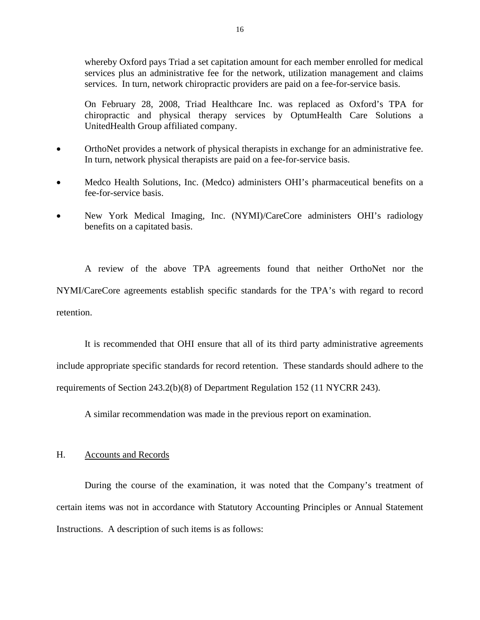<span id="page-17-0"></span>whereby Oxford pays Triad a set capitation amount for each member enrolled for medical services plus an administrative fee for the network, utilization management and claims services. In turn, network chiropractic providers are paid on a fee-for-service basis.

On February 28, 2008, Triad Healthcare Inc. was replaced as Oxford's TPA for chiropractic and physical therapy services by OptumHealth Care Solutions a UnitedHealth Group affiliated company.

- OrthoNet provides a network of physical therapists in exchange for an administrative fee. In turn, network physical therapists are paid on a fee-for-service basis.
- Medco Health Solutions, Inc. (Medco) administers OHI's pharmaceutical benefits on a fee-for-service basis.
- New York Medical Imaging, Inc. (NYMI)/CareCore administers OHI's radiology benefits on a capitated basis.

A review of the above TPA agreements found that neither OrthoNet nor the NYMI/CareCore agreements establish specific standards for the TPA's with regard to record retention.

It is recommended that OHI ensure that all of its third party administrative agreements include appropriate specific standards for record retention. These standards should adhere to the requirements of Section 243.2(b)(8) of Department Regulation 152 (11 NYCRR 243).

A similar recommendation was made in the previous report on examination.

#### H. Accounts and Records

During the course of the examination, it was noted that the Company's treatment of certain items was not in accordance with Statutory Accounting Principles or Annual Statement Instructions. A description of such items is as follows: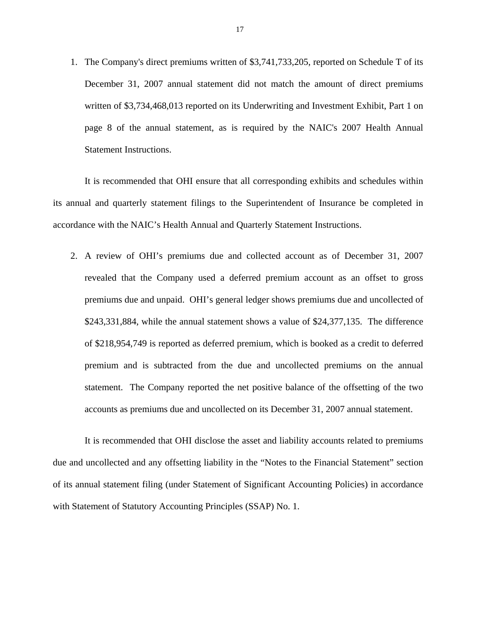<span id="page-18-0"></span>1. The Company's direct premiums written of \$3,741,733,205, reported on Schedule T of its December 31, 2007 annual statement did not match the amount of direct premiums written of \$3,734,468,013 reported on its Underwriting and Investment Exhibit, Part 1 on page 8 of the annual statement, as is required by the NAIC's 2007 Health Annual Statement Instructions.

It is recommended that OHI ensure that all corresponding exhibits and schedules within its annual and quarterly statement filings to the Superintendent of Insurance be completed in accordance with the NAIC's Health Annual and Quarterly Statement Instructions.

2. A review of OHI's premiums due and collected account as of December 31, 2007 revealed that the Company used a deferred premium account as an offset to gross premiums due and unpaid. OHI's general ledger shows premiums due and uncollected of \$243,331,884, while the annual statement shows a value of \$24,377,135. The difference of \$218,954,749 is reported as deferred premium, which is booked as a credit to deferred premium and is subtracted from the due and uncollected premiums on the annual statement. The Company reported the net positive balance of the offsetting of the two accounts as premiums due and uncollected on its December 31, 2007 annual statement.

It is recommended that OHI disclose the asset and liability accounts related to premiums due and uncollected and any offsetting liability in the "Notes to the Financial Statement" section of its annual statement filing (under Statement of Significant Accounting Policies) in accordance with Statement of Statutory Accounting Principles (SSAP) No. 1.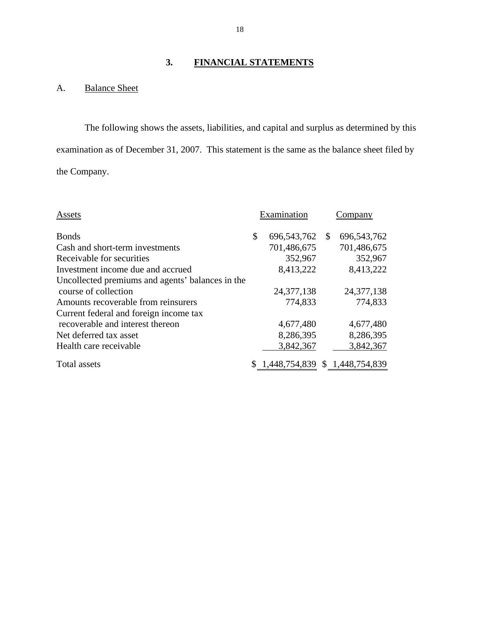# **3. FINANCIAL STATEMENTS**

# A. Balance Sheet

The following shows the assets, liabilities, and capital and surplus as determined by this examination as of December 31, 2007. This statement is the same as the balance sheet filed by the Company.

| Assets                                           | Examination         |   | Company         |
|--------------------------------------------------|---------------------|---|-----------------|
| <b>Bonds</b>                                     | \$<br>696, 543, 762 | S | 696, 543, 762   |
| Cash and short-term investments                  | 701,486,675         |   | 701,486,675     |
| Receivable for securities                        | 352,967             |   | 352,967         |
| Investment income due and accrued                | 8,413,222           |   | 8,413,222       |
| Uncollected premiums and agents' balances in the |                     |   |                 |
| course of collection                             | 24, 377, 138        |   | 24, 377, 138    |
| Amounts recoverable from reinsurers              | 774,833             |   | 774,833         |
| Current federal and foreign income tax           |                     |   |                 |
| recoverable and interest thereon                 | 4,677,480           |   | 4,677,480       |
| Net deferred tax asset                           | 8,286,395           |   | 8,286,395       |
| Health care receivable                           | 3,842,367           |   | 3,842,367       |
| Total assets                                     | 1,448,754,839       |   | \$1,448,754,839 |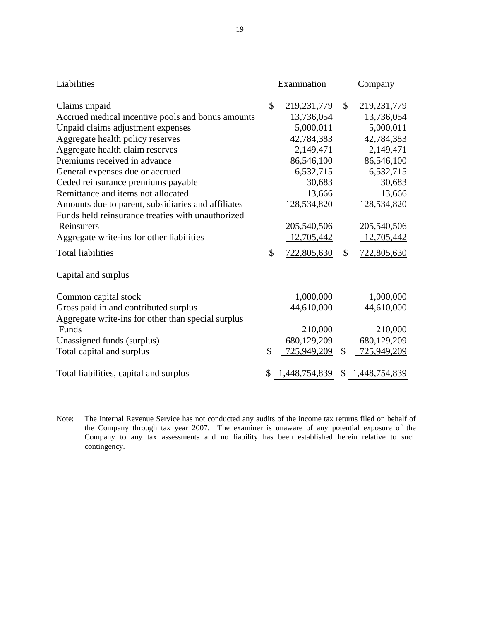| Liabilities                                        | Examination         |               | <b>Company</b>  |
|----------------------------------------------------|---------------------|---------------|-----------------|
| Claims unpaid                                      | \$<br>219, 231, 779 | $\mathcal{S}$ | 219,231,779     |
| Accrued medical incentive pools and bonus amounts  | 13,736,054          |               | 13,736,054      |
| Unpaid claims adjustment expenses                  | 5,000,011           |               | 5,000,011       |
| Aggregate health policy reserves                   | 42,784,383          |               | 42,784,383      |
| Aggregate health claim reserves                    | 2,149,471           |               | 2,149,471       |
| Premiums received in advance                       | 86,546,100          |               | 86,546,100      |
| General expenses due or accrued                    | 6,532,715           |               | 6,532,715       |
| Ceded reinsurance premiums payable                 | 30,683              |               | 30,683          |
| Remittance and items not allocated                 | 13,666              |               | 13,666          |
| Amounts due to parent, subsidiaries and affiliates | 128,534,820         |               | 128,534,820     |
| Funds held reinsurance treaties with unauthorized  |                     |               |                 |
| Reinsurers                                         | 205,540,506         |               | 205,540,506     |
| Aggregate write-ins for other liabilities          | 12,705,442          |               | 12,705,442      |
| <b>Total liabilities</b>                           | \$<br>722,805,630   | \$            | 722,805,630     |
| Capital and surplus                                |                     |               |                 |
| Common capital stock                               | 1,000,000           |               | 1,000,000       |
| Gross paid in and contributed surplus              | 44,610,000          |               | 44,610,000      |
| Aggregate write-ins for other than special surplus |                     |               |                 |
| Funds                                              | 210,000             |               | 210,000         |
| Unassigned funds (surplus)                         | 680,129,209         |               | 680,129,209     |
| Total capital and surplus                          | \$<br>725,949,209   | \$            | 725,949,209     |
| Total liabilities, capital and surplus             | 1,448,754,839       |               | \$1,448,754,839 |

 Company to any tax assessments and no liability has been established herein relative to such contingency. Note: The Internal Revenue Service has not conducted any audits of the income tax returns filed on behalf of the Company through tax year 2007. The examiner is unaware of any potential exposure of the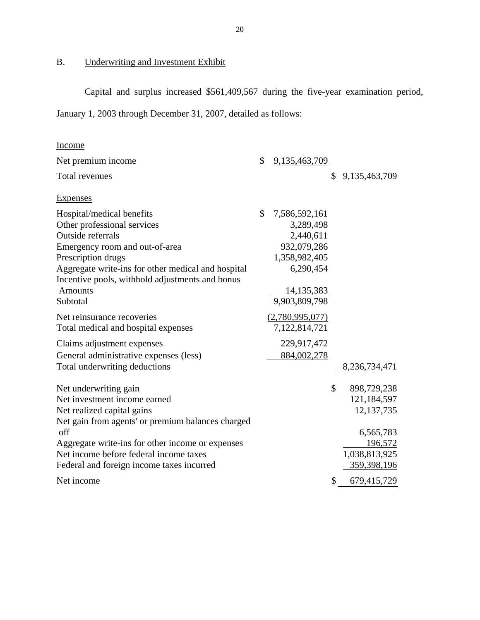# **Underwriting and Investment Exhibit**

B. Underwriting and Investment Exhibit<br>Capital and surplus increased \$561,409,567 during the five-year examination period,

January 1, 2003 through December 31, 2007, detailed as follows:

| <b>Income</b>                                      |                     |                     |
|----------------------------------------------------|---------------------|---------------------|
| Net premium income                                 | \$<br>9,135,463,709 |                     |
| Total revenues                                     |                     | \$<br>9,135,463,709 |
| <b>Expenses</b>                                    |                     |                     |
| Hospital/medical benefits                          | \$<br>7,586,592,161 |                     |
| Other professional services                        | 3,289,498           |                     |
| Outside referrals                                  | 2,440,611           |                     |
| Emergency room and out-of-area                     | 932,079,286         |                     |
| Prescription drugs                                 | 1,358,982,405       |                     |
| Aggregate write-ins for other medical and hospital | 6,290,454           |                     |
| Incentive pools, withhold adjustments and bonus    |                     |                     |
| <b>Amounts</b>                                     | 14, 135, 383        |                     |
| Subtotal                                           | 9,903,809,798       |                     |
| Net reinsurance recoveries                         | (2,780,995,077)     |                     |
| Total medical and hospital expenses                | 7,122,814,721       |                     |
| Claims adjustment expenses                         | 229,917,472         |                     |
| General administrative expenses (less)             | 884,002,278         |                     |
| Total underwriting deductions                      |                     | 8,236,734,471       |
| Net underwriting gain                              |                     | \$<br>898,729,238   |
| Net investment income earned                       |                     | 121,184,597         |
| Net realized capital gains                         |                     | 12, 137, 735        |
| Net gain from agents' or premium balances charged  |                     |                     |
| off                                                |                     | 6,565,783           |
| Aggregate write-ins for other income or expenses   |                     | 196,572             |
| Net income before federal income taxes             |                     | 1,038,813,925       |
| Federal and foreign income taxes incurred          |                     | 359,398,196         |
| Net income                                         |                     | \$<br>679,415,729   |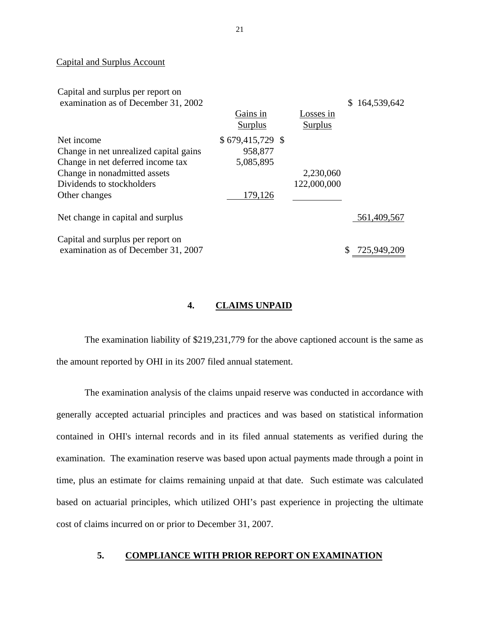#### Capital and Surplus Account

| Capital and surplus per report on<br>examination as of December 31, 2002 |                     |                      | 164,539,642<br>S. |
|--------------------------------------------------------------------------|---------------------|----------------------|-------------------|
|                                                                          | Gains in<br>Surplus | Losses in<br>Surplus |                   |
| Net income                                                               | $$679,415,729$ \\$  |                      |                   |
| Change in net unrealized capital gains                                   | 958,877             |                      |                   |
| Change in net deferred income tax                                        | 5,085,895           |                      |                   |
| Change in nonadmitted assets                                             |                     | 2,230,060            |                   |
| Dividends to stockholders                                                |                     | 122,000,000          |                   |
| Other changes                                                            | 179,126             |                      |                   |
| Net change in capital and surplus                                        |                     |                      | 561,409,567       |
| Capital and surplus per report on                                        |                     |                      |                   |
| examination as of December 31, 2007                                      |                     |                      | 725,949,209       |

#### **4. CLAIMS UNPAID**

The examination liability of \$219,231,779 for the above captioned account is the same as the amount reported by OHI in its 2007 filed annual statement.

The examination analysis of the claims unpaid reserve was conducted in accordance with generally accepted actuarial principles and practices and was based on statistical information contained in OHI's internal records and in its filed annual statements as verified during the examination. The examination reserve was based upon actual payments made through a point in time, plus an estimate for claims remaining unpaid at that date. Such estimate was calculated based on actuarial principles, which utilized OHI's past experience in projecting the ultimate cost of claims incurred on or prior to December 31, 2007.

### **5. COMPLIANCE WITH PRIOR REPORT ON EXAMINATION**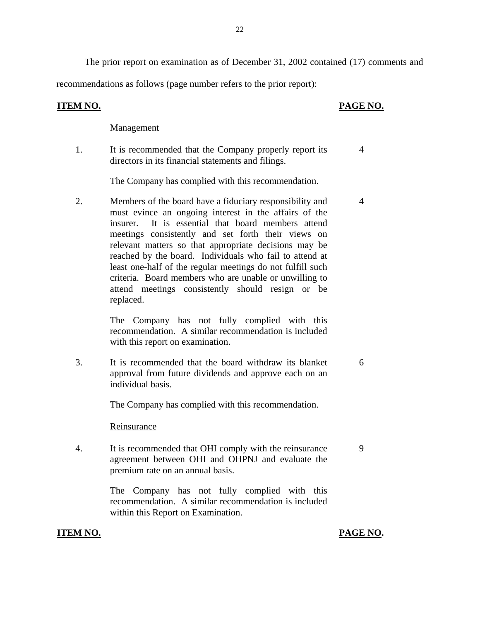The prior report on examination as of December 31, 2002 contained (17) comments and

<span id="page-23-0"></span>recommendations as follows (page number refers to the prior report):

#### **ITEM NO. PAGE NO.**

#### Management

1. It is recommended that the Company properly report its 4 directors in its financial statements and filings.

The Company has complied with this recommendation.

2. Members of the board have a fiduciary responsibility and 4 must evince an ongoing interest in the affairs of the insurer. It is essential that board members attend meetings consistently and set forth their views on relevant matters so that appropriate decisions may be reached by the board. Individuals who fail to attend at least one-half of the regular meetings do not fulfill such criteria. Board members who are unable or unwilling to attend meetings consistently should resign or be replaced.

> The Company has not fully complied with this recommendation. A similar recommendation is included with this report on examination.

3. It is recommended that the board withdraw its blanket 6 approval from future dividends and approve each on an individual basis.

The Company has complied with this recommendation.

### Reinsurance

4. It is recommended that OHI comply with the reinsurance 9 agreement between OHI and OHPNJ and evaluate the premium rate on an annual basis.

> The Company has not fully complied with this recommendation. A similar recommendation is included within this Report on Examination.

### **ITEM NO. PAGE NO.**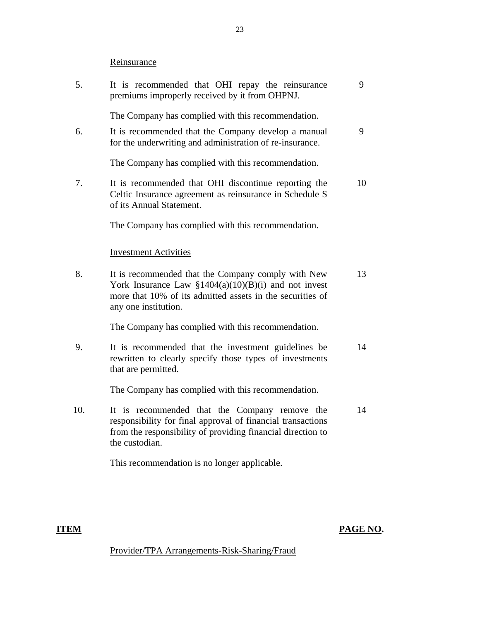# **Reinsurance**

<span id="page-24-0"></span>

| 5.  | It is recommended that OHI repay the reinsurance<br>premiums improperly received by it from OHPNJ.                                                                                                | 9  |
|-----|---------------------------------------------------------------------------------------------------------------------------------------------------------------------------------------------------|----|
|     | The Company has complied with this recommendation.                                                                                                                                                |    |
| 6.  | It is recommended that the Company develop a manual<br>for the underwriting and administration of re-insurance.                                                                                   | 9  |
|     | The Company has complied with this recommendation.                                                                                                                                                |    |
| 7.  | It is recommended that OHI discontinue reporting the<br>Celtic Insurance agreement as reinsurance in Schedule S<br>of its Annual Statement.                                                       | 10 |
|     | The Company has complied with this recommendation.                                                                                                                                                |    |
|     | <b>Investment Activities</b>                                                                                                                                                                      |    |
| 8.  | It is recommended that the Company comply with New<br>York Insurance Law $$1404(a)(10)(B)(i)$ and not invest<br>more that 10% of its admitted assets in the securities of<br>any one institution. | 13 |
|     | The Company has complied with this recommendation.                                                                                                                                                |    |
| 9.  | It is recommended that the investment guidelines be<br>rewritten to clearly specify those types of investments<br>that are permitted.                                                             | 14 |
|     | The Company has complied with this recommendation.                                                                                                                                                |    |
| 10. | It is recommended that the Company remove the<br>responsibility for final approval of financial transactions<br>from the responsibility of providing financial direction to<br>the custodian.     | 14 |
|     | This recommendation is no longer applicable.                                                                                                                                                      |    |
|     |                                                                                                                                                                                                   |    |
|     |                                                                                                                                                                                                   |    |

# **ITEM PAGE NO.**

Provider/TPA Arrangements-Risk-Sharing/Fraud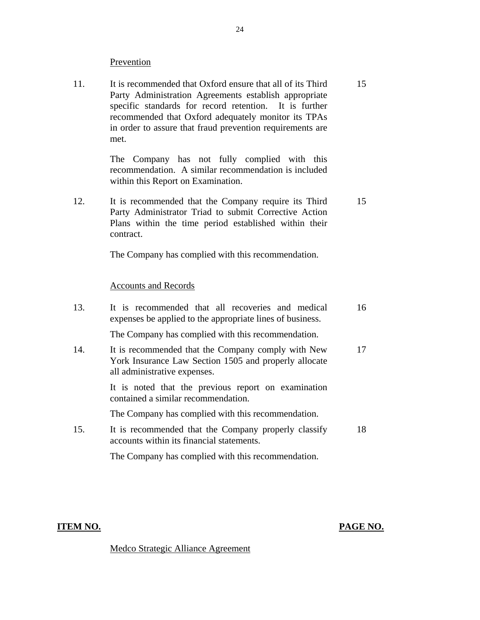#### **Prevention**

11. It is recommended that Oxford ensure that all of its Third 15 Party Administration Agreements establish appropriate specific standards for record retention. It is further recommended that Oxford adequately monitor its TPAs in order to assure that fraud prevention requirements are met.

> The Company has not fully complied with this recommendation. A similar recommendation is included within this Report on Examination.

12. It is recommended that the Company require its Third 15 Party Administrator Triad to submit Corrective Action Plans within the time period established within their contract.

The Company has complied with this recommendation.

#### **Accounts and Records**

|     | <b>Accounts and Records</b>                                                                                                                 |     |
|-----|---------------------------------------------------------------------------------------------------------------------------------------------|-----|
| 13. | It is recommended that all recoveries and medical<br>expenses be applied to the appropriate lines of business.                              | 16  |
|     | The Company has complied with this recommendation.                                                                                          |     |
| 14. | It is recommended that the Company comply with New<br>York Insurance Law Section 1505 and properly allocate<br>all administrative expenses. | 17  |
|     | It is noted that the previous report on examination<br>contained a similar recommendation.                                                  |     |
|     | The Company has complied with this recommendation.                                                                                          |     |
| 15. | It is recommended that the Company properly classify<br>accounts within its financial statements.                                           | 18. |
|     |                                                                                                                                             |     |

The Company has complied with this recommendation.

#### **ITEM NO. PAGE NO.**

Medco Strategic Alliance Agreement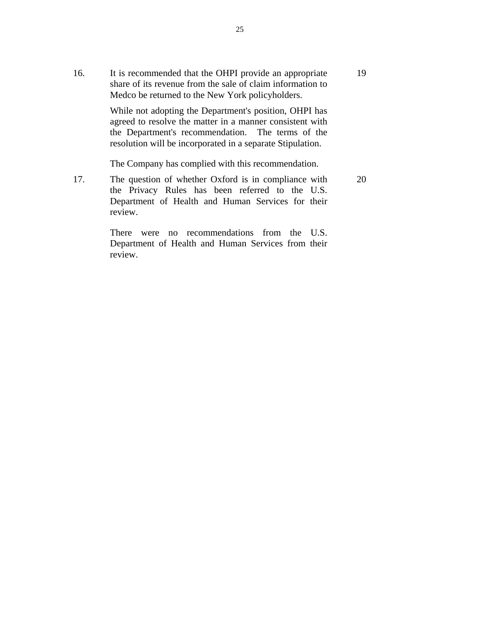16. It is recommended that the OHPI provide an appropriate share of its revenue from the sale of claim information to Medco be returned to the New York policyholders.

> While not adopting the Department's position, OHPI has agreed to resolve the matter in a manner consistent with the Department's recommendation. The terms of the resolution will be incorporated in a separate Stipulation.

The Company has complied with this recommendation.

17. The question of whether Oxford is in compliance with the Privacy Rules has been referred to the U.S. Department of Health and Human Services for their review.

> There were no recommendations from the U.S. Department of Health and Human Services from their review.

20

19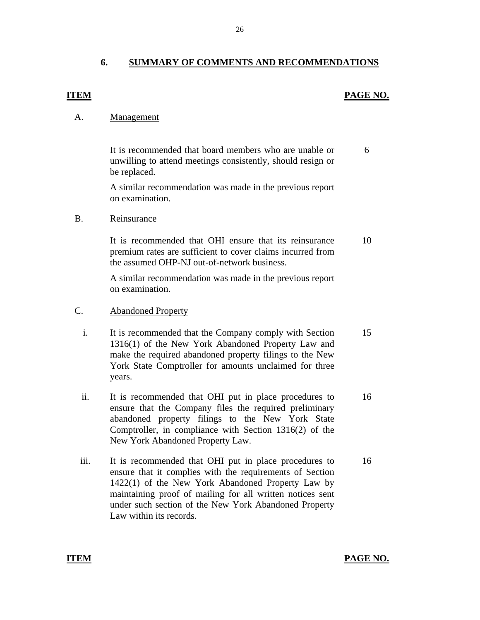### **6. SUMMARY OF COMMENTS AND RECOMMENDATIONS**

### **ITEM** PAGE NO.

6

#### Management

A. Management<br>It is recommended that board members who are unable or unwilling to attend meetings consistently, should resign or be replaced.

> A similar recommendation was made in the previous report on examination.

Reinsurance

B. Reinsurance<br>It is recommended that OHI ensure that its reinsurance premium rates are sufficient to cover claims incurred from the assumed OHP-NJ out-of-network business. 10

> A similar recommendation was made in the previous report on examination.

#### **Abandoned Property**

- C. Abandoned Property<br>
i. It is recommended that the Company comply with Section 1316(1) of the New York Abandoned Property Law and make the required abandoned property filings to the New York State Comptroller for amounts unclaimed for three years. 15
	- ii. It is recommended that OHI put in place procedures to ensure that the Company files the required preliminary abandoned property filings to the New York State Comptroller, in compliance with Section 1316(2) of the New York Abandoned Property Law. 16
	- iii. It is recommended that OHI put in place procedures to ensure that it complies with the requirements of Section 1422(1) of the New York Abandoned Property Law by maintaining proof of mailing for all written notices sent under such section of the New York Abandoned Property Law within its records. 16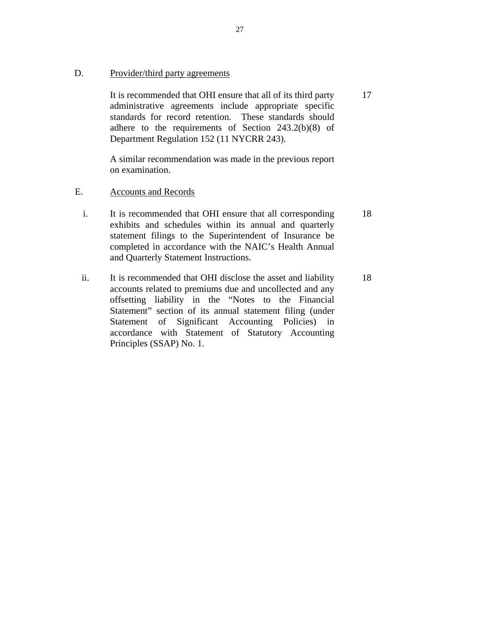#### Provider/third party agreements

D. Provider/third party agreements<br>It is recommended that OHI ensure that all of its third party administrative agreements include appropriate specific standards for record retention. These standards should adhere to the requirements of Section 243.2(b)(8) of Department Regulation 152 (11 NYCRR 243).

> A similar recommendation was made in the previous report on examination.

- **Accounts and Records**
- E. Accounts and Records<br>i. It is recommended that OHI ensure that all corresponding exhibits and schedules within its annual and quarterly statement filings to the Superintendent of Insurance be completed in accordance with the NAIC's Health Annual and Quarterly Statement Instructions. 18
	- ii. It is recommended that OHI disclose the asset and liability accounts related to premiums due and uncollected and any offsetting liability in the "Notes to the Financial Statement" section of its annual statement filing (under Statement of Significant Accounting Policies) in accordance with Statement of Statutory Accounting Principles (SSAP) No. 1. 18

17